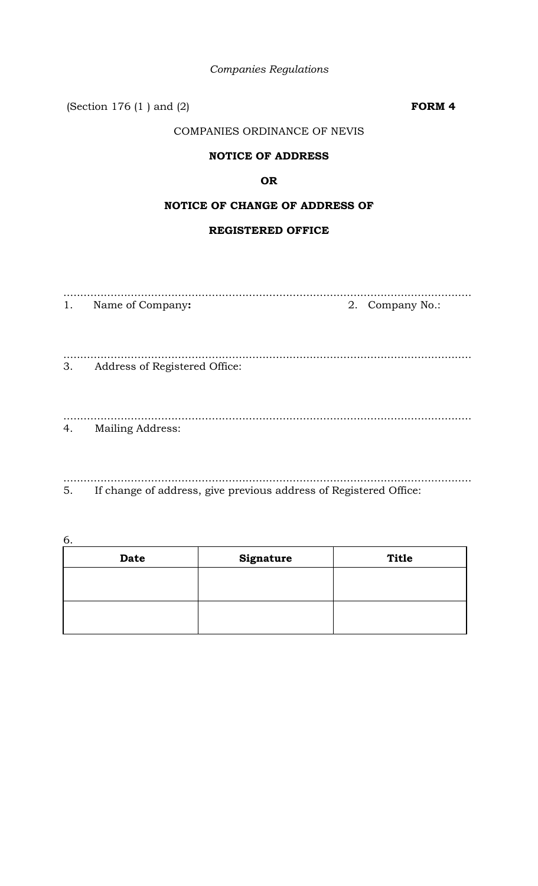| <b>Companies Regulations</b> |
|------------------------------|
|                              |

(Section 176 (1 ) and (2) **FORM 4**

# COMPANIES ORDINANCE OF NEVIS

# **NOTICE OF ADDRESS**

# **OR**

# **NOTICE OF CHANGE OF ADDRESS OF**

# **REGISTERED OFFICE**

| 1. | Name of Company:              | 2. Company No.: |
|----|-------------------------------|-----------------|
| 3. | Address of Registered Office: |                 |
| 4. | <b>Mailing Address:</b>       |                 |

......................................................................................................................... 5. If change of address, give previous address of Registered Office:

6.

| <b>Date</b> | <b>Signature</b> | <b>Title</b> |
|-------------|------------------|--------------|
|             |                  |              |
|             |                  |              |
|             |                  |              |